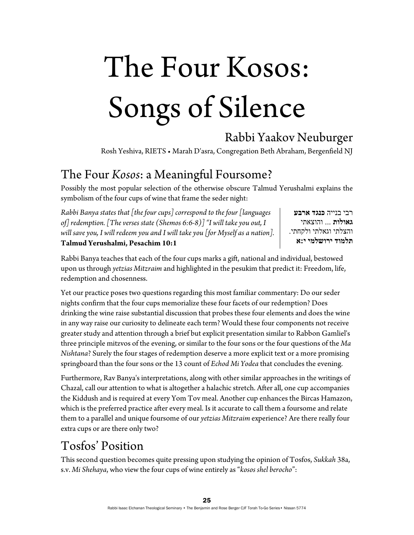# The Four Kosos: Songs of Silence

# Rabbi Yaakov Neuburger

Rosh Yeshiva, RIETS • Marah D'asra, Congregation Beth Abraham, Bergenfield NJ

## The Four *Kosos*: a Meaningful Foursome?

Possibly the most popular selection of the otherwise obscure Talmud Yerushalmi explains the symbolism of the four cups of wine that frame the seder night:

*Rabbi Banya states that [the four cups] correspond to the four [languages of] redemption. [The verses state (Shemos 6:6-8)] "I will take you out, I will save you, I will redeem you and I will take you [for Myself as a nation].*  **Talmud Yerushalmi, Pesachim 10:1** 

רבי בנייה **כנגד ארבע גאולות** ... והוצאתי והצלתי וגאלתי ולקחתי. **תלמוד ירושלמי י:א** 

Rabbi Banya teaches that each of the four cups marks a gift, national and individual, bestowed upon us through *yetzias Mitzraim* and highlighted in the pesukim that predict it: Freedom, life, redemption and chosenness.

Yet our practice poses two questions regarding this most familiar commentary: Do our seder nights confirm that the four cups memorialize these four facets of our redemption? Does drinking the wine raise substantial discussion that probes these four elements and does the wine in any way raise our curiosity to delineate each term? Would these four components not receive greater study and attention through a brief but explicit presentation similar to Rabbon Gamliel's three principle mitzvos of the evening, or similar to the four sons or the four questions of the *Ma Nishtana*? Surely the four stages of redemption deserve a more explicit text or a more promising springboard than the four sons or the 13 count of *Echod Mi Yodea* that concludes the evening.

Furthermore, Rav Banya's interpretations, along with other similar approaches in the writings of Chazal, call our attention to what is altogether a halachic stretch. After all, one cup accompanies the Kiddush and is required at every Yom Tov meal. Another cup enhances the Bircas Hamazon, which is the preferred practice after every meal. Is it accurate to call them a foursome and relate them to a parallel and unique foursome of our *yetzias Mitzraim* experience? Are there really four extra cups or are there only two?

# Tosfos' Position

This second question becomes quite pressing upon studying the opinion of Tosfos, *Sukkah* 38a, s.v. *Mi Shehaya*, who view the four cups of wine entirely as "*kosos shel berocho*":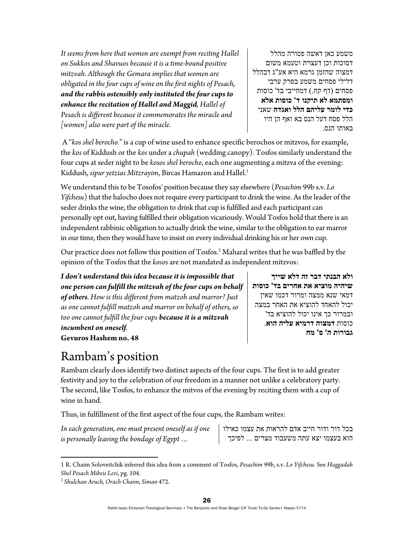*It seems from here that women are exempt from reciting Hallel on Sukkos and Shavuos because it is a time-bound positive mitzvah. Although the Gemara implies that women are obligated in the four cups of wine on the first nights of Pesach, and the rabbis ostensibly only instituted the four cups to enhance the recitation of Hallel and Maggid, Hallel of Pesach is different because it commemorates the miracle and [women] also were part of the miracle.* 

משמע כאן דאשה פטורה מהלל דסוכות וכן דעצרת וטעמא משום דמצוה שהזמן גרמא היא אע"ג דבהלל דלילי פסחים משמע בפרק ערבי פסחים (דף קח.) דמחייבי בד' כוסות **ומסתמא לא תיקנו ד' כוסות אלא כדי לומר עליהם הלל ואגדה** שאני הלל פסח דעל הנס בא ואף הן היו באותו הנס.

**ולא הבנתי דבר זה דלא שייך**

**גבורות ה' ס' מח**

**שיהיה מוציא את אחרים בד' כוסות** דמאי שנא ממצה ומרור דכמו שאין יכול להאחד להוציא את האחר במצה ובמרור כך אינו יכול להוציא בד' כוסות **דמצוה דרמיא עליה הוא**.

 A "*kos shel berocho.*" is a cup of wine used to enhance specific berochos or mitzvos, for example, the *kos* of Kiddush or the *kos* under a *chupah* (wedding canopy). Tosfos similarly understand the four cups at seder night to be *kosos shel berocho*, each one augmenting a mitzva of the evening: Kiddush, *sipur yetzias Mitzrayim*, Bircas Hamazon and Hallel.<sup>1</sup>

We understand this to be Tosofos' position because they say elsewhere (*Pesachim* 99b s.v. *Lo Yifchesu*) that the halocho does not require every participant to drink the wine. As the leader of the seder drinks the wine, the obligation to drink that cup is fulfilled and each participant can personally opt out, having fulfilled their obligation vicariously. Would Tosfos hold that there is an independent rabbinic obligation to actually drink the wine, similar to the obligation to ear marror in our time, then they would have to insist on every individual drinking his or her own cup.

Our practice does not follow this position of Tosfos.2 Maharal writes that he was baffled by the opinion of the Tosfos that the *kosos* are not mandated as independent mitzvos:

*I don't understand this idea because it is impossible that one person can fulfill the mitzvah of the four cups on behalf of others. How is this different from matzoh and marror? Just as one cannot fulfill matzoh and marror on behalf of others, so too one cannot fulfill the four cups because it is a mitzvah incumbent on oneself.*  **Gevuros Hashem no. 48** 

# Rambam's position

Rambam clearly does identify two distinct aspects of the four cups. The first is to add greater festivity and joy to the celebration of our freedom in a manner not unlike a celebratory party. The second, like Tosfos, to enhance the mitvos of the evening by reciting them with a cup of wine in hand.

Thus, in fulfillment of the first aspect of the four cups, the Rambam writes:

*In each generation, one must present oneself as if one is personally leaving the bondage of Egypt …* 

בכל דור ודור חייב אדם להראות את עצמו כאילו הוא בעצמו יצא עתה משעבוד מצרים ... לפיכך

 1 R. Chaim Soloveitchik inferred this idea from a comment of Tosfos, *Pesachim* 99b, s.v. *Lo Yifchesu*. See *Haggadah Shel Pesach Mibeis Levi*, pg. 104. 2 *Shulchan Aruch*, *Orach Chaim*, *Siman* 472.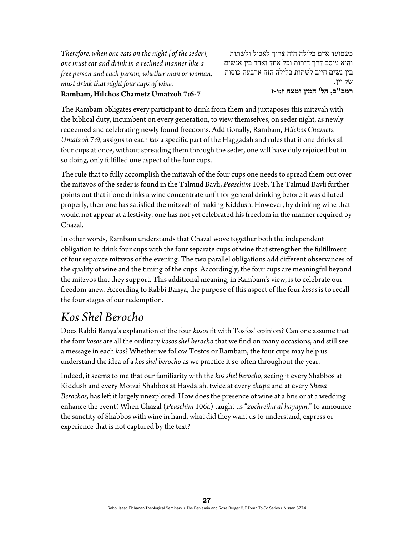*Therefore, when one eats on the night [of the seder], one must eat and drink in a reclined manner like a free person and each person, whether man or woman, must drink that night four cups of wine.* 

#### **Rambam, Hilchos Chametz Umatzoh 7:6-7**

כשסועד אדם בלילה הזה צריך לאכול ולשתות והוא מיסב דרך חירות וכל אחד ואחד בין אנשים בין נשים חייב לשתות בלילה הזה ארבעה כוסות של יין. **רמב"ם, הל' חמץ ומצה ז:ו-ז**

The Rambam obligates every participant to drink from them and juxtaposes this mitzvah with the biblical duty, incumbent on every generation, to view themselves, on seder night, as newly redeemed and celebrating newly found freedoms. Additionally, Rambam, *Hilchos Chametz Umatzoh* 7:9, assigns to each *kos* a specific part of the Haggadah and rules that if one drinks all four cups at once, without spreading them through the seder, one will have duly rejoiced but in so doing, only fulfilled one aspect of the four cups.

The rule that to fully accomplish the mitzvah of the four cups one needs to spread them out over the mitzvos of the seder is found in the Talmud Bavli, *Peaschim* 108b. The Talmud Bavli further points out that if one drinks a wine concentrate unfit for general drinking before it was diluted properly, then one has satisfied the mitzvah of making Kiddush. However, by drinking wine that would not appear at a festivity, one has not yet celebrated his freedom in the manner required by Chazal.

In other words, Rambam understands that Chazal wove together both the independent obligation to drink four cups with the four separate cups of wine that strengthen the fulfillment of four separate mitzvos of the evening. The two parallel obligations add different observances of the quality of wine and the timing of the cups. Accordingly, the four cups are meaningful beyond the mitzvos that they support. This additional meaning, in Rambam's view, is to celebrate our freedom anew. According to Rabbi Banya, the purpose of this aspect of the four *kosos* is to recall the four stages of our redemption.

## *Kos Shel Berocho*

Does Rabbi Banya's explanation of the four *kosos* fit with Tosfos' opinion? Can one assume that the four *kosos* are all the ordinary *kosos shel berocho* that we find on many occasions, and still see a message in each *kos*? Whether we follow Tosfos or Rambam, the four cups may help us understand the idea of a *kos shel berocho* as we practice it so often throughout the year.

Indeed, it seems to me that our familiarity with the *kos shel berocho*, seeing it every Shabbos at Kiddush and every Motzai Shabbos at Havdalah, twice at every *chupa* and at every *Sheva Berochos*, has left it largely unexplored. How does the presence of wine at a bris or at a wedding enhance the event? When Chazal (*Peaschim* 106a) taught us "*zochreihu al hayayin*," to announce the sanctity of Shabbos with wine in hand, what did they want us to understand, express or experience that is not captured by the text?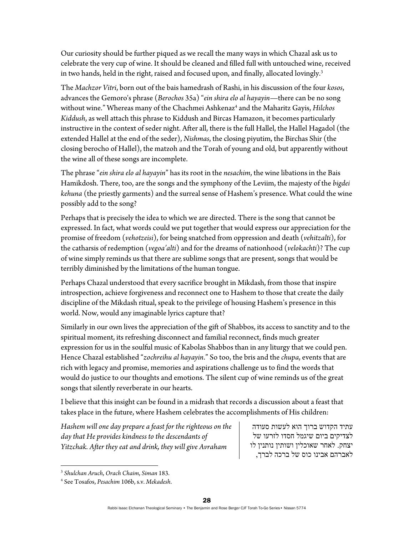Our curiosity should be further piqued as we recall the many ways in which Chazal ask us to celebrate the very cup of wine. It should be cleaned and filled full with untouched wine, received in two hands, held in the right, raised and focused upon, and finally, allocated lovingly.<sup>3</sup>

The *Machzor Vitri*, born out of the bais hamedrash of Rashi, in his discussion of the four *kosos*, advances the Gemoro's phrase (*Berochos* 35a) "*ein shira elo al hayayin*—there can be no song without wine." Whereas many of the Chachmei Ashkenaz<sup>4</sup> and the Maharitz Gayis, Hilchos *Kiddush*, as well attach this phrase to Kiddush and Bircas Hamazon, it becomes particularly instructive in the context of seder night. After all, there is the full Hallel, the Hallel Hagadol (the extended Hallel at the end of the seder), *Nishmas*, the closing piyutim, the Birchas Shir (the closing berocho of Hallel), the matzoh and the Torah of young and old, but apparently without the wine all of these songs are incomplete.

The phrase "*ein shira elo al hayayin*" has its root in the *nesachim*, the wine libations in the Bais Hamikdosh. There, too, are the songs and the symphony of the Leviim, the majesty of the *bigdei kehuna* (the priestly garments) and the surreal sense of Hashem's presence. What could the wine possibly add to the song?

Perhaps that is precisely the idea to which we are directed. There is the song that cannot be expressed. In fact, what words could we put together that would express our appreciation for the promise of freedom (*vehotzeisi*), for being snatched from oppression and death (*vehitzalti*), for the catharsis of redemption (*vegoa'alti*) and for the dreams of nationhood (*velokachti*)? The cup of wine simply reminds us that there are sublime songs that are present, songs that would be terribly diminished by the limitations of the human tongue.

Perhaps Chazal understood that every sacrifice brought in Mikdash, from those that inspire introspection, achieve forgiveness and reconnect one to Hashem to those that create the daily discipline of the Mikdash ritual, speak to the privilege of housing Hashem's presence in this world. Now, would any imaginable lyrics capture that?

Similarly in our own lives the appreciation of the gift of Shabbos, its access to sanctity and to the spiritual moment, its refreshing disconnect and familial reconnect, finds much greater expression for us in the soulful music of Kabolas Shabbos than in any liturgy that we could pen. Hence Chazal established "*zochreihu al hayayin*." So too, the bris and the *chupa*, events that are rich with legacy and promise, memories and aspirations challenge us to find the words that would do justice to our thoughts and emotions. The silent cup of wine reminds us of the great songs that silently reverberate in our hearts.

I believe that this insight can be found in a midrash that records a discussion about a feast that takes place in the future, where Hashem celebrates the accomplishments of His children:

*Hashem will one day prepare a feast for the righteous on the day that He provides kindness to the descendants of Yitzchak. After they eat and drink, they will give Avraham* 

עתיד הקדוש ברוך הוא לעשות סעודה לצדיקים ביום שיגמל חסדו לזרעו של יצחק. לאחר שאוכלין ושותין נותנין לו לאברהם אבינו כוס של ברכה לברך,

 <sup>3</sup> *Shulchan Aruch*, *Orach Chaim*, *Siman* 183.

<sup>4</sup> See Tosafos, *Pesachim* 106b, s.v. *Mekadesh*.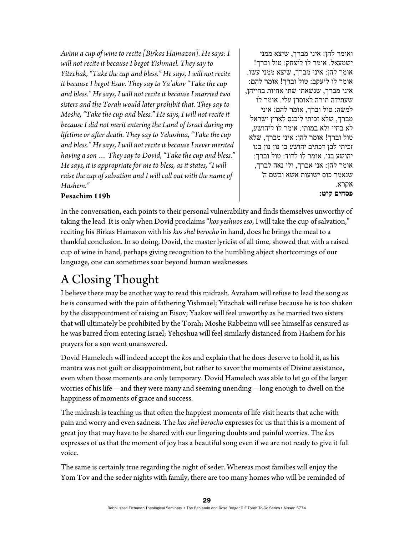*Avinu a cup of wine to recite [Birkas Hamazon]. He says: I will not recite it because I begot Yishmael. They say to Yitzchak, "Take the cup and bless." He says, I will not recite it because I begot Esav. They say to Ya'akov "Take the cup and bless." He says, I will not recite it because I married two sisters and the Torah would later prohibit that. They say to Moshe, "Take the cup and bless." He says, I will not recite it because I did not merit entering the Land of Israel during my lifetime or after death. They say to Yehoshua, "Take the cup and bless." He says, I will not recite it because I never merited having a son … They say to Dovid, "Take the cup and bless." He says, it is appropriate for me to bless, as it states, "I will raise the cup of salvation and I will call out with the name of Hashem."* 

ואומר להן: איני מברך, שיצא ממני ישמעאל. אומר לו ליצחק: טול וברך! אומר להן: איני מברך, שיצא ממני עשו. אומר לו ליעקב: טול וברך! אומר להם: איני מברך, שנשאתי שתי אחיות בחייהן, שעתידה תורה לאוסרן עלי. אומר לו למשה: טול וברך, אומר להם: איני מברך, שלא זכיתי ליכנס לארץ ישראל לא בחיי ולא במותי. אומר לו ליהושע, טול וברך! אומר להן: איני מברך, שלא זכיתי לבן דכתיב יהושע בן נון נון בנו יהושע בנו. אומר לו לדוד: טול וברך: אומר להן: אני אברך, ולי נאה לברך, שנאמר כוס ישועות אשא ובשם ה' אקרא. **פסחים קיט:**

### **Pesachim 119b**

In the conversation, each points to their personal vulnerability and finds themselves unworthy of taking the lead. It is only when Dovid proclaims "*kosyeshuos eso*, I will take the cup of salvation," reciting his Birkas Hamazon with his *kos shel berocho* in hand, does he brings the meal to a thankful conclusion. In so doing, Dovid, the master lyricist of all time, showed that with a raised cup of wine in hand, perhaps giving recognition to the humbling abject shortcomings of our language, one can sometimes soar beyond human weaknesses.

# A Closing Thought

I believe there may be another way to read this midrash. Avraham will refuse to lead the song as he is consumed with the pain of fathering Yishmael; Yitzchak will refuse because he is too shaken by the disappointment of raising an Eisov; Yaakov will feel unworthy as he married two sisters that will ultimately be prohibited by the Torah; Moshe Rabbeinu will see himself as censured as he was barred from entering Israel; Yehoshua will feel similarly distanced from Hashem for his prayers for a son went unanswered.

Dovid Hamelech will indeed accept the *kos* and explain that he does deserve to hold it, as his mantra was not guilt or disappointment, but rather to savor the moments of Divine assistance, even when those moments are only temporary. Dovid Hamelech was able to let go of the larger worries of his life—and they were many and seeming unending—long enough to dwell on the happiness of moments of grace and success.

The midrash is teaching us that often the happiest moments of life visit hearts that ache with pain and worry and even sadness. The *kos shel berocho* expresses for us that this is a moment of great joy that may have to be shared with our lingering doubts and painful worries. The *kos* expresses of us that the moment of joy has a beautiful song even if we are not ready to give it full voice.

The same is certainly true regarding the night of seder. Whereas most families will enjoy the Yom Tov and the seder nights with family, there are too many homes who will be reminded of